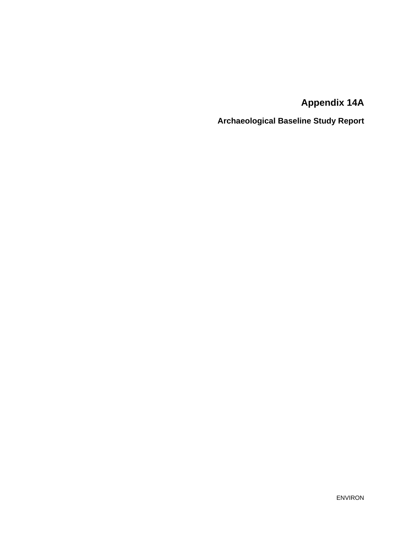**Appendix 14A** 

**Archaeological Baseline Study Report**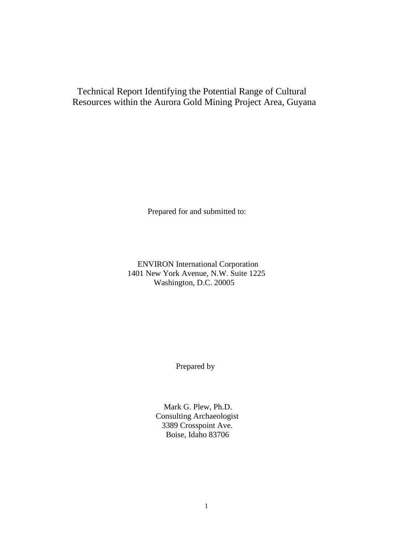# Technical Report Identifying the Potential Range of Cultural Resources within the Aurora Gold Mining Project Area, Guyana

Prepared for and submitted to:

 ENVIRON International Corporation 1401 New York Avenue, N.W. Suite 1225 Washington, D.C. 20005

Prepared by

 Mark G. Plew, Ph.D. Consulting Archaeologist 3389 Crosspoint Ave. Boise, Idaho 83706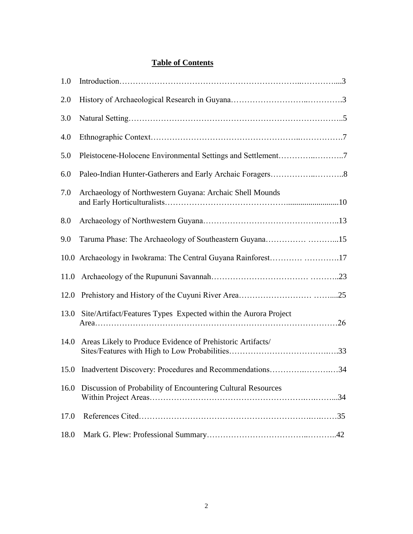#### **Table of Contents**

| 1.0  |                                                                 |  |
|------|-----------------------------------------------------------------|--|
| 2.0  |                                                                 |  |
| 3.0  |                                                                 |  |
| 4.0  |                                                                 |  |
| 5.0  | Pleistocene-Holocene Environmental Settings and Settlement7     |  |
| 6.0  |                                                                 |  |
| 7.0  | Archaeology of Northwestern Guyana: Archaic Shell Mounds        |  |
| 8.0  |                                                                 |  |
| 9.0  | Taruma Phase: The Archaeology of Southeastern Guyana15          |  |
|      | 10.0 Archaeology in Iwokrama: The Central Guyana Rainforest17   |  |
| 11.0 |                                                                 |  |
| 12.0 |                                                                 |  |
| 13.0 | Site/Artifact/Features Types Expected within the Aurora Project |  |
| 14.0 | Areas Likely to Produce Evidence of Prehistoric Artifacts/      |  |
| 15.0 | Inadvertent Discovery: Procedures and Recommendations34         |  |
| 16.0 | Discussion of Probability of Encountering Cultural Resources    |  |
| 17.0 |                                                                 |  |
| 18.0 |                                                                 |  |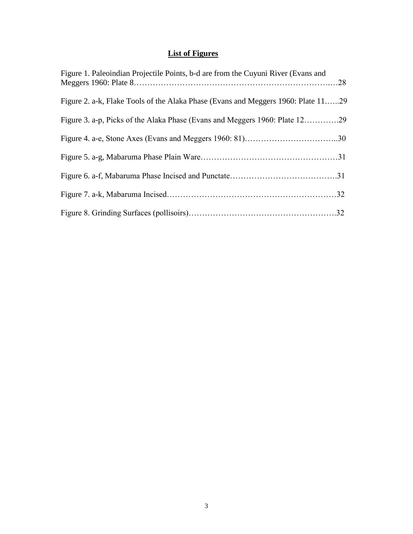### **List of Figures**

| Figure 1. Paleoindian Projectile Points, b-d are from the Cuyuni River (Evans and |  |
|-----------------------------------------------------------------------------------|--|
| Figure 2. a-k, Flake Tools of the Alaka Phase (Evans and Meggers 1960: Plate 1129 |  |
| Figure 3. a-p, Picks of the Alaka Phase (Evans and Meggers 1960: Plate 1229       |  |
|                                                                                   |  |
|                                                                                   |  |
|                                                                                   |  |
|                                                                                   |  |
|                                                                                   |  |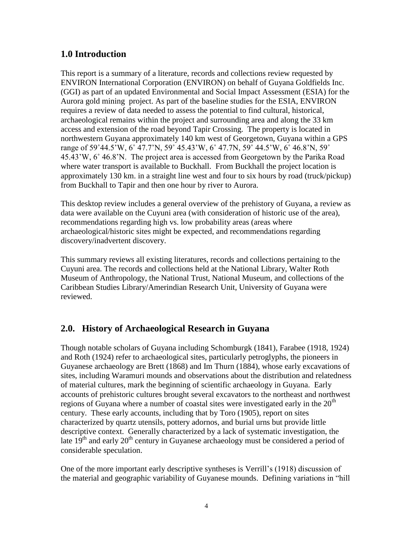#### **1.0 Introduction**

This report is a summary of a literature, records and collections review requested by ENVIRON International Corporation (ENVIRON) on behalf of Guyana Goldfields Inc. (GGI) as part of an updated Environmental and Social Impact Assessment (ESIA) for the Aurora gold mining project. As part of the baseline studies for the ESIA, ENVIRON requires a review of data needed to assess the potential to find cultural, historical, archaeological remains within the project and surrounding area and along the 33 km access and extension of the road beyond Tapir Crossing. The property is located in northwestern Guyana approximately 140 km west of Georgetown, Guyana within a GPS range of 59˚44.5'W, 6˚ 47.7'N, 59˚ 45.43'W, 6˚ 47.7N, 59˚ 44.5'W, 6˚ 46.8'N, 59˚ 45.43'W, 6˚ 46.8'N. The project area is accessed from Georgetown by the Parika Road where water transport is available to Buckhall. From Buckhall the project location is approximately 130 km. in a straight line west and four to six hours by road (truck/pickup) from Buckhall to Tapir and then one hour by river to Aurora.

This desktop review includes a general overview of the prehistory of Guyana, a review as data were available on the Cuyuni area (with consideration of historic use of the area), recommendations regarding high vs. low probability areas (areas where archaeological/historic sites might be expected, and recommendations regarding discovery/inadvertent discovery.

This summary reviews all existing literatures, records and collections pertaining to the Cuyuni area. The records and collections held at the National Library, Walter Roth Museum of Anthropology, the National Trust, National Museum, and collections of the Caribbean Studies Library/Amerindian Research Unit, University of Guyana were reviewed.

# **2.0. History of Archaeological Research in Guyana**

Though notable scholars of Guyana including Schomburgk (1841), Farabee (1918, 1924) and Roth (1924) refer to archaeological sites, particularly petroglyphs, the pioneers in Guyanese archaeology are Brett (1868) and Im Thurn (1884), whose early excavations of sites, including Waramuri mounds and observations about the distribution and relatedness of material cultures, mark the beginning of scientific archaeology in Guyana. Early accounts of prehistoric cultures brought several excavators to the northeast and northwest regions of Guyana where a number of coastal sites were investigated early in the  $20<sup>th</sup>$ century. These early accounts, including that by Toro (1905), report on sites characterized by quartz utensils, pottery adornos, and burial urns but provide little descriptive context. Generally characterized by a lack of systematic investigation, the late 19<sup>th</sup> and early 20<sup>th</sup> century in Guyanese archaeology must be considered a period of considerable speculation.

One of the more important early descriptive syntheses is Verrill's (1918) discussion of the material and geographic variability of Guyanese mounds. Defining variations in "hill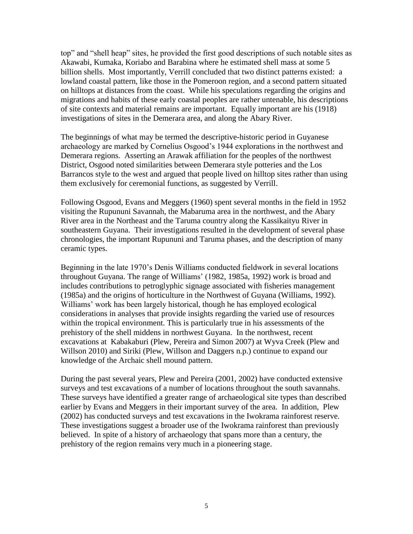top" and "shell heap" sites, he provided the first good descriptions of such notable sites as Akawabi, Kumaka, Koriabo and Barabina where he estimated shell mass at some 5 billion shells. Most importantly, Verrill concluded that two distinct patterns existed: a lowland coastal pattern, like those in the Pomeroon region, and a second pattern situated on hilltops at distances from the coast. While his speculations regarding the origins and migrations and habits of these early coastal peoples are rather untenable, his descriptions of site contexts and material remains are important. Equally important are his (1918) investigations of sites in the Demerara area, and along the Abary River.

The beginnings of what may be termed the descriptive-historic period in Guyanese archaeology are marked by Cornelius Osgood's 1944 explorations in the northwest and Demerara regions. Asserting an Arawak affiliation for the peoples of the northwest District, Osgood noted similarities between Demerara style potteries and the Los Barrancos style to the west and argued that people lived on hilltop sites rather than using them exclusively for ceremonial functions, as suggested by Verrill.

Following Osgood, Evans and Meggers (1960) spent several months in the field in 1952 visiting the Rupununi Savannah, the Mabaruma area in the northwest, and the Abary River area in the Northeast and the Taruma country along the Kassikaityu River in southeastern Guyana. Their investigations resulted in the development of several phase chronologies, the important Rupununi and Taruma phases, and the description of many ceramic types.

Beginning in the late 1970's Denis Williams conducted fieldwork in several locations throughout Guyana. The range of Williams' (1982, 1985a, 1992) work is broad and includes contributions to petroglyphic signage associated with fisheries management (1985a) and the origins of horticulture in the Northwest of Guyana (Williams, 1992). Williams' work has been largely historical, though he has employed ecological considerations in analyses that provide insights regarding the varied use of resources within the tropical environment. This is particularly true in his assessments of the prehistory of the shell middens in northwest Guyana. In the northwest, recent excavations at Kabakaburi (Plew, Pereira and Simon 2007) at Wyva Creek (Plew and Willson 2010) and Siriki (Plew, Willson and Daggers n.p.) continue to expand our knowledge of the Archaic shell mound pattern.

During the past several years, Plew and Pereira (2001, 2002) have conducted extensive surveys and test excavations of a number of locations throughout the south savannahs. These surveys have identified a greater range of archaeological site types than described earlier by Evans and Meggers in their important survey of the area. In addition, Plew (2002) has conducted surveys and test excavations in the Iwokrama rainforest reserve. These investigations suggest a broader use of the Iwokrama rainforest than previously believed. In spite of a history of archaeology that spans more than a century, the prehistory of the region remains very much in a pioneering stage.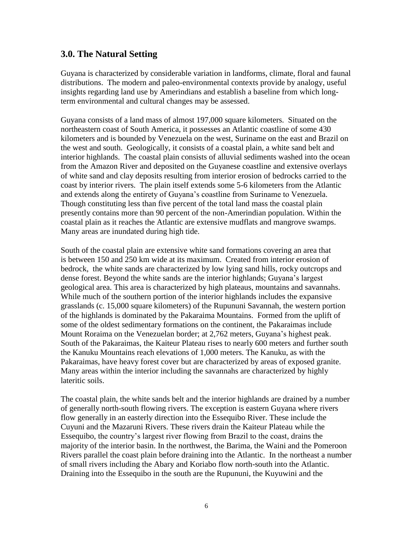#### **3.0. The Natural Setting**

Guyana is characterized by considerable variation in landforms, climate, floral and faunal distributions. The modern and paleo-environmental contexts provide by analogy, useful insights regarding land use by Amerindians and establish a baseline from which longterm environmental and cultural changes may be assessed.

Guyana consists of a land mass of almost 197,000 square kilometers. Situated on the northeastern coast of South America, it possesses an Atlantic coastline of some 430 kilometers and is bounded by Venezuela on the west, Suriname on the east and Brazil on the west and south. Geologically, it consists of a coastal plain, a white sand belt and interior highlands. The coastal plain consists of alluvial sediments washed into the ocean from the Amazon River and deposited on the Guyanese coastline and extensive overlays of white sand and clay deposits resulting from interior erosion of bedrocks carried to the coast by interior rivers. The plain itself extends some 5-6 kilometers from the Atlantic and extends along the entirety of Guyana's coastline from Suriname to Venezuela. Though constituting less than five percent of the total land mass the coastal plain presently contains more than 90 percent of the non-Amerindian population. Within the coastal plain as it reaches the Atlantic are extensive mudflats and mangrove swamps. Many areas are inundated during high tide.

South of the coastal plain are extensive white sand formations covering an area that is between 150 and 250 km wide at its maximum. Created from interior erosion of bedrock, the white sands are characterized by low lying sand hills, rocky outcrops and dense forest. Beyond the white sands are the interior highlands; Guyana's largest geological area. This area is characterized by high plateaus, mountains and savannahs. While much of the southern portion of the interior highlands includes the expansive grasslands (c. 15,000 square kilometers) of the Rupununi Savannah, the western portion of the highlands is dominated by the Pakaraima Mountains. Formed from the uplift of some of the oldest sedimentary formations on the continent, the Pakaraimas include Mount Roraima on the Venezuelan border; at 2,762 meters, Guyana's highest peak. South of the Pakaraimas, the Kaiteur Plateau rises to nearly 600 meters and further south the Kanuku Mountains reach elevations of 1,000 meters. The Kanuku, as with the Pakaraimas, have heavy forest cover but are characterized by areas of exposed granite. Many areas within the interior including the savannahs are characterized by highly lateritic soils.

The coastal plain, the white sands belt and the interior highlands are drained by a number of generally north-south flowing rivers. The exception is eastern Guyana where rivers flow generally in an easterly direction into the Essequibo River. These include the Cuyuni and the Mazaruni Rivers. These rivers drain the Kaiteur Plateau while the Essequibo, the country's largest river flowing from Brazil to the coast, drains the majority of the interior basin. In the northwest, the Barima, the Waini and the Pomeroon Rivers parallel the coast plain before draining into the Atlantic. In the northeast a number of small rivers including the Abary and Koriabo flow north-south into the Atlantic. Draining into the Essequibo in the south are the Rupununi, the Kuyuwini and the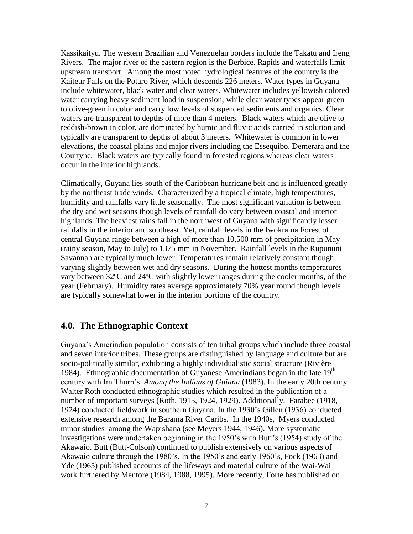Kassikaityu. The western Brazilian and Venezuelan borders include the Takatu and Ireng Rivers. The major river of the eastern region is the Berbice. Rapids and waterfalls limit upstream transport. Among the most noted hydrological features of the country is the Kaiteur Falls on the Potaro River, which descends 226 meters. Water types in Guyana include whitewater, black water and clear waters. Whitewater includes yellowish colored water carrying heavy sediment load in suspension, while clear water types appear green to olive-green in color and carry low levels of suspended sediments and organics. Clear waters are transparent to depths of more than 4 meters. Black waters which are olive to reddish-brown in color, are dominated by humic and fluvic acids carried in solution and typically are transparent to depths of about 3 meters. Whitewater is common in lower elevations, the coastal plains and major rivers including the Essequibo, Demerara and the Courtyne. Black waters are typically found in forested regions whereas clear waters occur in the interior highlands.

Climatically, Guyana lies south of the Caribbean hurricane belt and is influenced greatly by the northeast trade winds. Characterized by a tropical climate, high temperatures, humidity and rainfalls vary little seasonally. The most significant variation is between the dry and wet seasons though levels of rainfall do vary between coastal and interior highlands. The heaviest rains fall in the northwest of Guyana with significantly lesser rainfalls in the interior and southeast. Yet, rainfall levels in the Iwokrama Forest of central Guyana range between a high of more than 10,500 mm of precipitation in May (rainy season, May to July) to 1375 mm in November. Rainfall levels in the Rupununi Savannah are typically much lower. Temperatures remain relatively constant though varying slightly between wet and dry seasons. During the hottest months temperatures vary between 32ºC and 24ºC with slightly lower ranges during the cooler months, of the year (February). Humidity rates average approximately 70% year round though levels are typically somewhat lower in the interior portions of the country.

#### **4.0. The Ethnographic Context**

Guyana's Amerindian population consists of ten tribal groups which include three coastal and seven interior tribes. These groups are distinguished by language and culture but are socio-politically similar, exhibiting a highly individualistic social structure (Rivière 1984). Ethnographic documentation of Guyanese Amerindians began in the late  $19<sup>th</sup>$ century with Im Thurn's *Among the Indians of Guiana* (1983). In the early 20th century Walter Roth conducted ethnographic studies which resulted in the publication of a number of important surveys (Roth, 1915, 1924, 1929). Additionally, Farabee (1918, 1924) conducted fieldwork in southern Guyana. In the 1930's Gillen (1936) conducted extensive research among the Barama River Caribs. In the 1940s, Myers conducted minor studies among the Wapishana (see Meyers 1944, 1946). More systematic investigations were undertaken beginning in the 1950's with Butt's (1954) study of the Akawaio. Butt (Butt-Colson) continued to publish extensively on various aspects of Akawaio culture through the 1980's. In the 1950's and early 1960's, Fock (1963) and Yde (1965) published accounts of the lifeways and material culture of the Wai-Wai work furthered by Mentore (1984, 1988, 1995). More recently, Forte has published on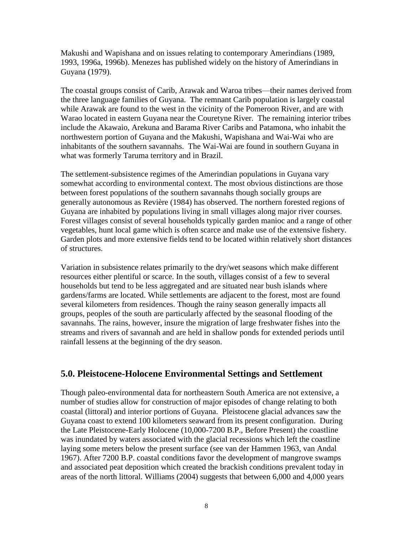Makushi and Wapishana and on issues relating to contemporary Amerindians (1989, 1993, 1996a, 1996b). Menezes has published widely on the history of Amerindians in Guyana (1979).

The coastal groups consist of Carib, Arawak and Waroa tribes—their names derived from the three language families of Guyana. The remnant Carib population is largely coastal while Arawak are found to the west in the vicinity of the Pomeroon River, and are with Warao located in eastern Guyana near the Couretyne River. The remaining interior tribes include the Akawaio, Arekuna and Barama River Caribs and Patamona, who inhabit the northwestern portion of Guyana and the Makushi, Wapishana and Wai-Wai who are inhabitants of the southern savannahs. The Wai-Wai are found in southern Guyana in what was formerly Taruma territory and in Brazil.

The settlement-subsistence regimes of the Amerindian populations in Guyana vary somewhat according to environmental context. The most obvious distinctions are those between forest populations of the southern savannahs though socially groups are generally autonomous as Revière (1984) has observed. The northern forested regions of Guyana are inhabited by populations living in small villages along major river courses. Forest villages consist of several households typically garden manioc and a range of other vegetables, hunt local game which is often scarce and make use of the extensive fishery. Garden plots and more extensive fields tend to be located within relatively short distances of structures.

Variation in subsistence relates primarily to the dry/wet seasons which make different resources either plentiful or scarce. In the south, villages consist of a few to several households but tend to be less aggregated and are situated near bush islands where gardens/farms are located. While settlements are adjacent to the forest, most are found several kilometers from residences. Though the rainy season generally impacts all groups, peoples of the south are particularly affected by the seasonal flooding of the savannahs. The rains, however, insure the migration of large freshwater fishes into the streams and rivers of savannah and are held in shallow ponds for extended periods until rainfall lessens at the beginning of the dry season.

# **5.0. Pleistocene-Holocene Environmental Settings and Settlement**

Though paleo-environmental data for northeastern South America are not extensive, a number of studies allow for construction of major episodes of change relating to both coastal (littoral) and interior portions of Guyana. Pleistocene glacial advances saw the Guyana coast to extend 100 kilometers seaward from its present configuration. During the Late Pleistocene-Early Holocene (10,000-7200 B.P., Before Present) the coastline was inundated by waters associated with the glacial recessions which left the coastline laying some meters below the present surface (see van der Hammen 1963, van Andal 1967). After 7200 B.P. coastal conditions favor the development of mangrove swamps and associated peat deposition which created the brackish conditions prevalent today in areas of the north littoral. Williams (2004) suggests that between 6,000 and 4,000 years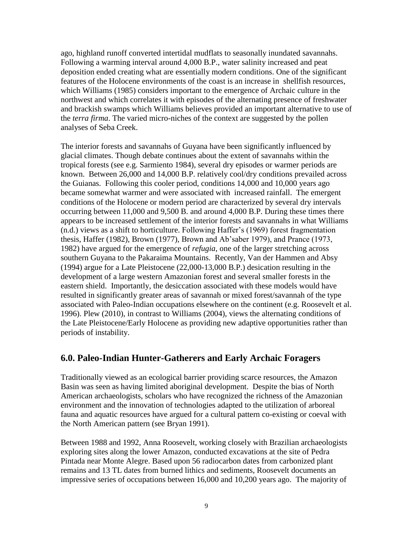ago, highland runoff converted intertidal mudflats to seasonally inundated savannahs. Following a warming interval around 4,000 B.P., water salinity increased and peat deposition ended creating what are essentially modern conditions. One of the significant features of the Holocene environments of the coast is an increase in shellfish resources, which Williams (1985) considers important to the emergence of Archaic culture in the northwest and which correlates it with episodes of the alternating presence of freshwater and brackish swamps which Williams believes provided an important alternative to use of the *terra firma*. The varied micro-niches of the context are suggested by the pollen analyses of Seba Creek.

The interior forests and savannahs of Guyana have been significantly influenced by glacial climates. Though debate continues about the extent of savannahs within the tropical forests (see e.g. Sarmiento 1984), several dry episodes or warmer periods are known. Between 26,000 and 14,000 B.P. relatively cool/dry conditions prevailed across the Guianas. Following this cooler period, conditions 14,000 and 10,000 years ago became somewhat warmer and were associated with increased rainfall. The emergent conditions of the Holocene or modern period are characterized by several dry intervals occurring between 11,000 and 9,500 B. and around 4,000 B.P. During these times there appears to be increased settlement of the interior forests and savannahs in what Williams (n.d.) views as a shift to horticulture. Following Haffer's (1969) forest fragmentation thesis, Haffer (1982), Brown (1977), Brown and Ab'saber 1979), and Prance (1973, 1982) have argued for the emergence of *refugia*, one of the larger stretching across southern Guyana to the Pakaraima Mountains. Recently, Van der Hammen and Absy (1994) argue for a Late Pleistocene (22,000-13,000 B.P.) desication resulting in the development of a large western Amazonian forest and several smaller forests in the eastern shield. Importantly, the desiccation associated with these models would have resulted in significantly greater areas of savannah or mixed forest/savannah of the type associated with Paleo-Indian occupations elsewhere on the continent (e.g. Roosevelt et al. 1996). Plew (2010), in contrast to Williams (2004), views the alternating conditions of the Late Pleistocene/Early Holocene as providing new adaptive opportunities rather than periods of instability.

#### **6.0. Paleo-Indian Hunter-Gatherers and Early Archaic Foragers**

Traditionally viewed as an ecological barrier providing scarce resources, the Amazon Basin was seen as having limited aboriginal development. Despite the bias of North American archaeologists, scholars who have recognized the richness of the Amazonian environment and the innovation of technologies adapted to the utilization of arboreal fauna and aquatic resources have argued for a cultural pattern co-existing or coeval with the North American pattern (see Bryan 1991).

Between 1988 and 1992, Anna Roosevelt, working closely with Brazilian archaeologists exploring sites along the lower Amazon, conducted excavations at the site of Pedra Pintada near Monte Alegre. Based upon 56 radiocarbon dates from carbonized plant remains and 13 TL dates from burned lithics and sediments, Roosevelt documents an impressive series of occupations between 16,000 and 10,200 years ago. The majority of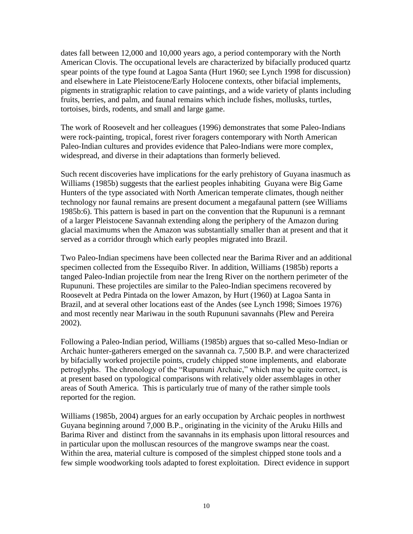dates fall between 12,000 and 10,000 years ago, a period contemporary with the North American Clovis. The occupational levels are characterized by bifacially produced quartz spear points of the type found at Lagoa Santa (Hurt 1960; see Lynch 1998 for discussion) and elsewhere in Late Pleistocene/Early Holocene contexts, other bifacial implements, pigments in stratigraphic relation to cave paintings, and a wide variety of plants including fruits, berries, and palm, and faunal remains which include fishes, mollusks, turtles, tortoises, birds, rodents, and small and large game.

The work of Roosevelt and her colleagues (1996) demonstrates that some Paleo-Indians were rock-painting, tropical, forest river foragers contemporary with North American Paleo-Indian cultures and provides evidence that Paleo-Indians were more complex, widespread, and diverse in their adaptations than formerly believed.

Such recent discoveries have implications for the early prehistory of Guyana inasmuch as Williams (1985b) suggests that the earliest peoples inhabiting Guyana were Big Game Hunters of the type associated with North American temperate climates, though neither technology nor faunal remains are present document a megafaunal pattern (see Williams 1985b:6). This pattern is based in part on the convention that the Rupununi is a remnant of a larger Pleistocene Savannah extending along the periphery of the Amazon during glacial maximums when the Amazon was substantially smaller than at present and that it served as a corridor through which early peoples migrated into Brazil.

Two Paleo-Indian specimens have been collected near the Barima River and an additional specimen collected from the Essequibo River. In addition, Williams (1985b) reports a tanged Paleo-Indian projectile from near the Ireng River on the northern perimeter of the Rupununi. These projectiles are similar to the Paleo-Indian specimens recovered by Roosevelt at Pedra Pintada on the lower Amazon, by Hurt (1960) at Lagoa Santa in Brazil, and at several other locations east of the Andes (see Lynch 1998; Simoes 1976) and most recently near Mariwau in the south Rupununi savannahs (Plew and Pereira 2002).

Following a Paleo-Indian period, Williams (1985b) argues that so-called Meso-Indian or Archaic hunter-gatherers emerged on the savannah ca. 7,500 B.P. and were characterized by bifacially worked projectile points, crudely chipped stone implements, and elaborate petroglyphs. The chronology of the "Rupununi Archaic," which may be quite correct, is at present based on typological comparisons with relatively older assemblages in other areas of South America. This is particularly true of many of the rather simple tools reported for the region.

Williams (1985b, 2004) argues for an early occupation by Archaic peoples in northwest Guyana beginning around 7,000 B.P., originating in the vicinity of the Aruku Hills and Barima River and distinct from the savannahs in its emphasis upon littoral resources and in particular upon the molluscan resources of the mangrove swamps near the coast. Within the area, material culture is composed of the simplest chipped stone tools and a few simple woodworking tools adapted to forest exploitation. Direct evidence in support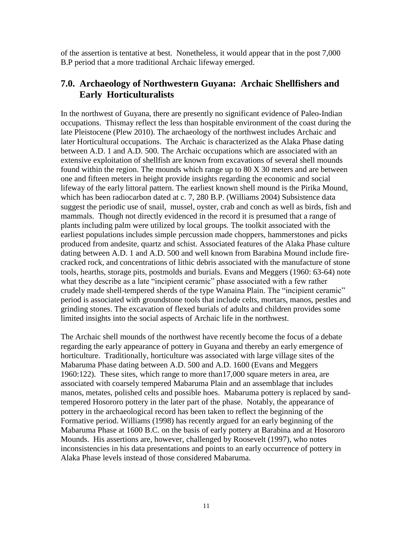of the assertion is tentative at best. Nonetheless, it would appear that in the post 7,000 B.P period that a more traditional Archaic lifeway emerged.

## **7.0. Archaeology of Northwestern Guyana: Archaic Shellfishers and Early Horticulturalists**

In the northwest of Guyana, there are presently no significant evidence of Paleo-Indian occupations. Thismay reflect the less than hospitable environment of the coast during the late Pleistocene (Plew 2010). The archaeology of the northwest includes Archaic and later Horticultural occupations. The Archaic is characterized as the Alaka Phase dating between A.D. 1 and A.D. 500. The Archaic occupations which are associated with an extensive exploitation of shellfish are known from excavations of several shell mounds found within the region. The mounds which range up to 80 X 30 meters and are between one and fifteen meters in height provide insights regarding the economic and social lifeway of the early littoral pattern. The earliest known shell mound is the Pirika Mound, which has been radiocarbon dated at c. 7, 280 B.P. (Williams 2004) Subsistence data suggest the periodic use of snail, mussel, oyster, crab and conch as well as birds, fish and mammals. Though not directly evidenced in the record it is presumed that a range of plants including palm were utilized by local groups. The toolkit associated with the earliest populations includes simple percussion made choppers, hammerstones and picks produced from andesite, quartz and schist. Associated features of the Alaka Phase culture dating between A.D. 1 and A.D. 500 and well known from Barabina Mound include firecracked rock, and concentrations of lithic debris associated with the manufacture of stone tools, hearths, storage pits, postmolds and burials. Evans and Meggers (1960: 63-64) note what they describe as a late "incipient ceramic" phase associated with a few rather crudely made shell-tempered sherds of the type Wanaina Plain. The "incipient ceramic" period is associated with groundstone tools that include celts, mortars, manos, pestles and grinding stones. The excavation of flexed burials of adults and children provides some limited insights into the social aspects of Archaic life in the northwest.

The Archaic shell mounds of the northwest have recently become the focus of a debate regarding the early appearance of pottery in Guyana and thereby an early emergence of horticulture. Traditionally, horticulture was associated with large village sites of the Mabaruma Phase dating between A.D. 500 and A.D. 1600 (Evans and Meggers 1960:122). These sites, which range to more than17,000 square meters in area, are associated with coarsely tempered Mabaruma Plain and an assemblage that includes manos, metates, polished celts and possible hoes. Mabaruma pottery is replaced by sandtempered Hosororo pottery in the later part of the phase. Notably, the appearance of pottery in the archaeological record has been taken to reflect the beginning of the Formative period. Williams (1998) has recently argued for an early beginning of the Mabaruma Phase at 1600 B.C. on the basis of early pottery at Barabina and at Hosororo Mounds. His assertions are, however, challenged by Roosevelt (1997), who notes inconsistencies in his data presentations and points to an early occurrence of pottery in Alaka Phase levels instead of those considered Mabaruma.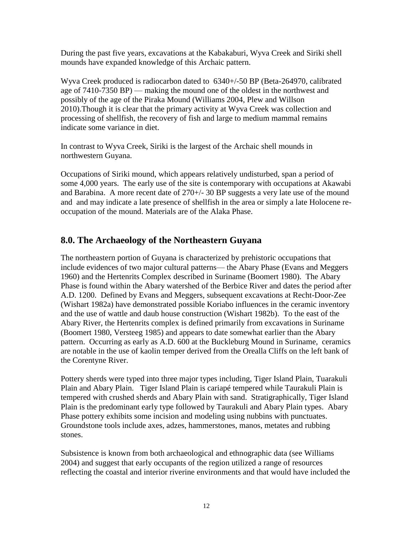During the past five years, excavations at the Kabakaburi, Wyva Creek and Siriki shell mounds have expanded knowledge of this Archaic pattern.

Wyva Creek produced is radiocarbon dated to 6340+/-50 BP (Beta-264970, calibrated age of 7410-7350 BP) — making the mound one of the oldest in the northwest and possibly of the age of the Piraka Mound (Williams 2004, Plew and Willson 2010).Though it is clear that the primary activity at Wyva Creek was collection and processing of shellfish, the recovery of fish and large to medium mammal remains indicate some variance in diet.

In contrast to Wyva Creek, Siriki is the largest of the Archaic shell mounds in northwestern Guyana.

Occupations of Siriki mound, which appears relatively undisturbed, span a period of some 4,000 years. The early use of the site is contemporary with occupations at Akawabi and Barabina. A more recent date of 270+/- 30 BP suggests a very late use of the mound and and may indicate a late presence of shellfish in the area or simply a late Holocene reoccupation of the mound. Materials are of the Alaka Phase.

# **8.0. The Archaeology of the Northeastern Guyana**

The northeastern portion of Guyana is characterized by prehistoric occupations that include evidences of two major cultural patterns— the Abary Phase (Evans and Meggers 1960) and the Hertenrits Complex described in Suriname (Boomert 1980). The Abary Phase is found within the Abary watershed of the Berbice River and dates the period after A.D. 1200. Defined by Evans and Meggers, subsequent excavations at Recht-Door-Zee (Wishart 1982a) have demonstrated possible Koriabo influences in the ceramic inventory and the use of wattle and daub house construction (Wishart 1982b). To the east of the Abary River, the Hertenrits complex is defined primarily from excavations in Suriname (Boomert 1980, Versteeg 1985) and appears to date somewhat earlier than the Abary pattern. Occurring as early as A.D. 600 at the Buckleburg Mound in Suriname, ceramics are notable in the use of kaolin temper derived from the Orealla Cliffs on the left bank of the Corentyne River.

Pottery sherds were typed into three major types including, Tiger Island Plain, Tuarakuli Plain and Abary Plain. Tiger Island Plain is cariapé tempered while Taurakuli Plain is tempered with crushed sherds and Abary Plain with sand. Stratigraphically, Tiger Island Plain is the predominant early type followed by Taurakuli and Abary Plain types. Abary Phase pottery exhibits some incision and modeling using nubbins with punctuates. Groundstone tools include axes, adzes, hammerstones, manos, metates and rubbing stones.

Subsistence is known from both archaeological and ethnographic data (see Williams 2004) and suggest that early occupants of the region utilized a range of resources reflecting the coastal and interior riverine environments and that would have included the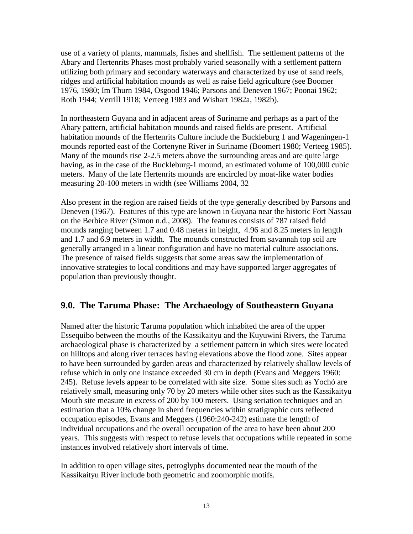use of a variety of plants, mammals, fishes and shellfish. The settlement patterns of the Abary and Hertenrits Phases most probably varied seasonally with a settlement pattern utilizing both primary and secondary waterways and characterized by use of sand reefs, ridges and artificial habitation mounds as well as raise field agriculture (see Boomer 1976, 1980; Im Thurn 1984, Osgood 1946; Parsons and Deneven 1967; Poonai 1962; Roth 1944; Verrill 1918; Verteeg 1983 and Wishart 1982a, 1982b).

In northeastern Guyana and in adjacent areas of Suriname and perhaps as a part of the Abary pattern, artificial habitation mounds and raised fields are present. Artificial habitation mounds of the Hertenrits Culture include the Buckleburg 1 and Wageningen-1 mounds reported east of the Cortenyne River in Suriname (Boomert 1980; Verteeg 1985). Many of the mounds rise 2-2.5 meters above the surrounding areas and are quite large having, as in the case of the Buckleburg-1 mound, an estimated volume of 100,000 cubic meters. Many of the late Hertenrits mounds are encircled by moat-like water bodies measuring 20-100 meters in width (see Williams 2004, 32

Also present in the region are raised fields of the type generally described by Parsons and Deneven (1967). Features of this type are known in Guyana near the historic Fort Nassau on the Berbice River (Simon n.d., 2008). The features consists of 787 raised field mounds ranging between 1.7 and 0.48 meters in height, 4.96 and 8.25 meters in length and 1.7 and 6.9 meters in width. The mounds constructed from savannah top soil are generally arranged in a linear configuration and have no material culture associations. The presence of raised fields suggests that some areas saw the implementation of innovative strategies to local conditions and may have supported larger aggregates of population than previously thought.

# **9.0. The Taruma Phase: The Archaeology of Southeastern Guyana**

Named after the historic Taruma population which inhabited the area of the upper Essequibo between the mouths of the Kassikaityu and the Kuyuwini Rivers, the Taruma archaeological phase is characterized by a settlement pattern in which sites were located on hilltops and along river terraces having elevations above the flood zone. Sites appear to have been surrounded by garden areas and characterized by relatively shallow levels of refuse which in only one instance exceeded 30 cm in depth (Evans and Meggers 1960: 245). Refuse levels appear to be correlated with site size. Some sites such as Yochó are relatively small, measuring only 70 by 20 meters while other sites such as the Kassikaityu Mouth site measure in excess of 200 by 100 meters. Using seriation techniques and an estimation that a 10% change in sherd frequencies within stratigraphic cuts reflected occupation episodes, Evans and Meggers (1960:240-242) estimate the length of individual occupations and the overall occupation of the area to have been about 200 years. This suggests with respect to refuse levels that occupations while repeated in some instances involved relatively short intervals of time.

In addition to open village sites, petroglyphs documented near the mouth of the Kassikaityu River include both geometric and zoomorphic motifs.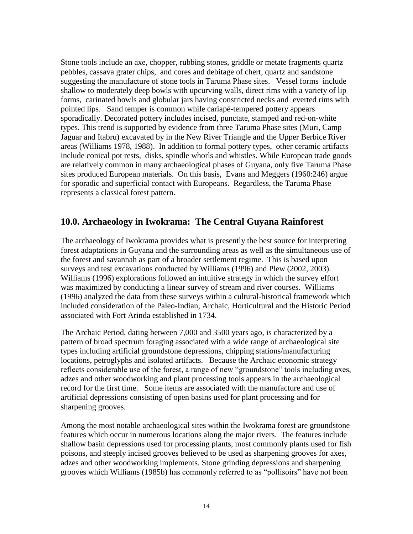Stone tools include an axe, chopper, rubbing stones, griddle or metate fragments quartz pebbles, cassava grater chips, and cores and debitage of chert, quartz and sandstone suggesting the manufacture of stone tools in Taruma Phase sites. Vessel forms include shallow to moderately deep bowls with upcurving walls, direct rims with a variety of lip forms, carinated bowls and globular jars having constricted necks and everted rims with pointed lips. Sand temper is common while cariapé-tempered pottery appears sporadically. Decorated pottery includes incised, punctate, stamped and red-on-white types. This trend is supported by evidence from three Taruma Phase sites (Muri, Camp Jaguar and Itabru) excavated by in the New River Triangle and the Upper Berbice River areas (Williams 1978, 1988). In addition to formal pottery types, other ceramic artifacts include conical pot rests, disks, spindle whorls and whistles. While European trade goods are relatively common in many archaeological phases of Guyana, only five Taruma Phase sites produced European materials. On this basis, Evans and Meggers (1960:246) argue for sporadic and superficial contact with Europeans. Regardless, the Taruma Phase represents a classical forest pattern.

#### **10.0. Archaeology in Iwokrama: The Central Guyana Rainforest**

The archaeology of Iwokrama provides what is presently the best source for interpreting forest adaptations in Guyana and the surrounding areas as well as the simultaneous use of the forest and savannah as part of a broader settlement regime. This is based upon surveys and test excavations conducted by Williams (1996) and Plew (2002, 2003). Williams (1996) explorations followed an intuitive strategy in which the survey effort was maximized by conducting a linear survey of stream and river courses. Williams (1996) analyzed the data from these surveys within a cultural-historical framework which included consideration of the Paleo-Indian, Archaic, Horticultural and the Historic Period associated with Fort Arinda established in 1734.

The Archaic Period, dating between 7,000 and 3500 years ago, is characterized by a pattern of broad spectrum foraging associated with a wide range of archaeological site types including artificial groundstone depressions, chipping stations/manufacturing locations, petroglyphs and isolated artifacts. Because the Archaic economic strategy reflects considerable use of the forest, a range of new "groundstone" tools including axes, adzes and other woodworking and plant processing tools appears in the archaeological record for the first time. Some items are associated with the manufacture and use of artificial depressions consisting of open basins used for plant processing and for sharpening grooves.

Among the most notable archaeological sites within the Iwokrama forest are groundstone features which occur in numerous locations along the major rivers. The features include shallow basin depressions used for processing plants, most commonly plants used for fish poisons, and steeply incised grooves believed to be used as sharpening grooves for axes, adzes and other woodworking implements. Stone grinding depressions and sharpening grooves which Williams (1985b) has commonly referred to as "pollisoirs" have not been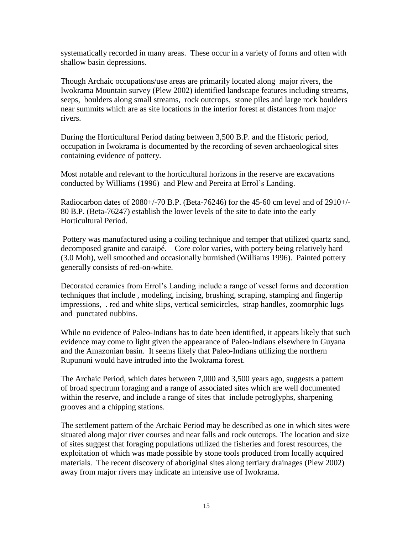systematically recorded in many areas. These occur in a variety of forms and often with shallow basin depressions.

Though Archaic occupations/use areas are primarily located along major rivers, the Iwokrama Mountain survey (Plew 2002) identified landscape features including streams, seeps, boulders along small streams, rock outcrops, stone piles and large rock boulders near summits which are as site locations in the interior forest at distances from major rivers.

During the Horticultural Period dating between 3,500 B.P. and the Historic period, occupation in Iwokrama is documented by the recording of seven archaeological sites containing evidence of pottery.

Most notable and relevant to the horticultural horizons in the reserve are excavations conducted by Williams (1996) and Plew and Pereira at Errol's Landing.

Radiocarbon dates of 2080+/-70 B.P. (Beta-76246) for the 45-60 cm level and of 2910+/- 80 B.P. (Beta-76247) establish the lower levels of the site to date into the early Horticultural Period.

Pottery was manufactured using a coiling technique and temper that utilized quartz sand, decomposed granite and caraipé. Core color varies, with pottery being relatively hard (3.0 Moh), well smoothed and occasionally burnished (Williams 1996). Painted pottery generally consists of red-on-white.

Decorated ceramics from Errol's Landing include a range of vessel forms and decoration techniques that include , modeling, incising, brushing, scraping, stamping and fingertip impressions, . red and white slips, vertical semicircles, strap handles, zoomorphic lugs and punctated nubbins.

While no evidence of Paleo-Indians has to date been identified, it appears likely that such evidence may come to light given the appearance of Paleo-Indians elsewhere in Guyana and the Amazonian basin. It seems likely that Paleo-Indians utilizing the northern Rupununi would have intruded into the Iwokrama forest.

The Archaic Period, which dates between 7,000 and 3,500 years ago, suggests a pattern of broad spectrum foraging and a range of associated sites which are well documented within the reserve, and include a range of sites that include petroglyphs, sharpening grooves and a chipping stations.

The settlement pattern of the Archaic Period may be described as one in which sites were situated along major river courses and near falls and rock outcrops. The location and size of sites suggest that foraging populations utilized the fisheries and forest resources, the exploitation of which was made possible by stone tools produced from locally acquired materials. The recent discovery of aboriginal sites along tertiary drainages (Plew 2002) away from major rivers may indicate an intensive use of Iwokrama.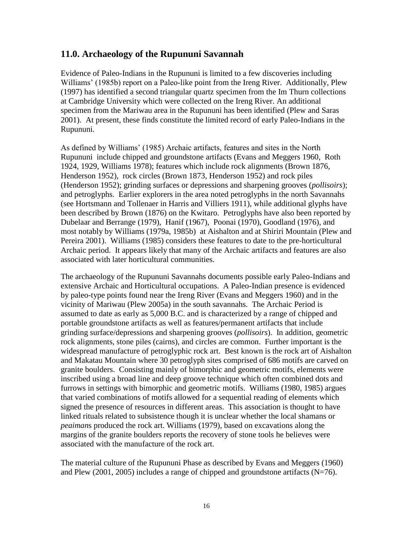### **11.0. Archaeology of the Rupununi Savannah**

Evidence of Paleo-Indians in the Rupununi is limited to a few discoveries including Williams' (1985b) report on a Paleo-like point from the Ireng River. Additionally, Plew (1997) has identified a second triangular quartz specimen from the Im Thurn collections at Cambridge University which were collected on the Ireng River. An additional specimen from the Mariwau area in the Rupununi has been identified (Plew and Saras 2001). At present, these finds constitute the limited record of early Paleo-Indians in the Rupununi.

As defined by Williams' (1985) Archaic artifacts, features and sites in the North Rupununi include chipped and groundstone artifacts (Evans and Meggers 1960, Roth 1924, 1929, Williams 1978); features which include rock alignments (Brown 1876, Henderson 1952), rock circles (Brown 1873, Henderson 1952) and rock piles (Henderson 1952); grinding surfaces or depressions and sharpening grooves (*pollisoirs*); and petroglyphs. Earlier explorers in the area noted petroglyphs in the north Savannahs (see Hortsmann and Tollenaer in Harris and Villiers 1911), while additional glyphs have been described by Brown (1876) on the Kwitaro. Petroglyphs have also been reported by Dubelaar and Berrange (1979), Hanif (1967), Poonai (1970), Goodland (1976), and most notably by Williams (1979a, 1985b) at Aishalton and at Shiriri Mountain (Plew and Pereira 2001). Williams (1985) considers these features to date to the pre-horticultural Archaic period. It appears likely that many of the Archaic artifacts and features are also associated with later horticultural communities.

The archaeology of the Rupununi Savannahs documents possible early Paleo-Indians and extensive Archaic and Horticultural occupations. A Paleo-Indian presence is evidenced by paleo-type points found near the Ireng River (Evans and Meggers 1960) and in the vicinity of Mariwau (Plew 2005a) in the south savannahs. The Archaic Period is assumed to date as early as 5,000 B.C. and is characterized by a range of chipped and portable groundstone artifacts as well as features/permanent artifacts that include grinding surface/depressions and sharpening grooves (*pollisoirs*). In addition, geometric rock alignments, stone piles (cairns), and circles are common. Further important is the widespread manufacture of petroglyphic rock art. Best known is the rock art of Aishalton and Makatau Mountain where 30 petroglyph sites comprised of 686 motifs are carved on granite boulders. Consisting mainly of bimorphic and geometric motifs, elements were inscribed using a broad line and deep groove technique which often combined dots and furrows in settings with bimorphic and geometric motifs. Williams (1980, 1985) argues that varied combinations of motifs allowed for a sequential reading of elements which signed the presence of resources in different areas. This association is thought to have linked rituals related to subsistence though it is unclear whether the local shamans or *peaiman*s produced the rock art. Williams (1979), based on excavations along the margins of the granite boulders reports the recovery of stone tools he believes were associated with the manufacture of the rock art.

The material culture of the Rupununi Phase as described by Evans and Meggers (1960) and Plew (2001, 2005) includes a range of chipped and groundstone artifacts ( $N=76$ ).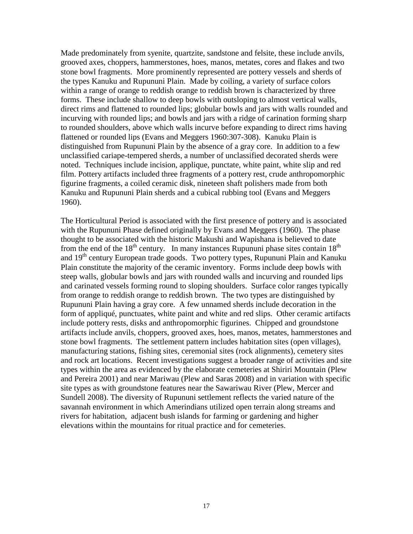Made predominately from syenite, quartzite, sandstone and felsite, these include anvils, grooved axes, choppers, hammerstones, hoes, manos, metates, cores and flakes and two stone bowl fragments. More prominently represented are pottery vessels and sherds of the types Kanuku and Rupununi Plain. Made by coiling, a variety of surface colors within a range of orange to reddish orange to reddish brown is characterized by three forms. These include shallow to deep bowls with outsloping to almost vertical walls, direct rims and flattened to rounded lips; globular bowls and jars with walls rounded and incurving with rounded lips; and bowls and jars with a ridge of carination forming sharp to rounded shoulders, above which walls incurve before expanding to direct rims having flattened or rounded lips (Evans and Meggers 1960:307-308). Kanuku Plain is distinguished from Rupununi Plain by the absence of a gray core. In addition to a few unclassified cariape-tempered sherds, a number of unclassified decorated sherds were noted. Techniques include incision, applique, punctate, white paint, white slip and red film. Pottery artifacts included three fragments of a pottery rest, crude anthropomorphic figurine fragments, a coiled ceramic disk, nineteen shaft polishers made from both Kanuku and Rupununi Plain sherds and a cubical rubbing tool (Evans and Meggers 1960).

The Horticultural Period is associated with the first presence of pottery and is associated with the Rupununi Phase defined originally by Evans and Meggers (1960). The phase thought to be associated with the historic Makushi and Wapishana is believed to date from the end of the  $18<sup>th</sup>$  century. In many instances Rupununi phase sites contain  $18<sup>th</sup>$ and 19<sup>th</sup> century European trade goods. Two pottery types, Rupununi Plain and Kanuku Plain constitute the majority of the ceramic inventory. Forms include deep bowls with steep walls, globular bowls and jars with rounded walls and incurving and rounded lips and carinated vessels forming round to sloping shoulders. Surface color ranges typically from orange to reddish orange to reddish brown. The two types are distinguished by Rupununi Plain having a gray core. A few unnamed sherds include decoration in the form of appliqué, punctuates, white paint and white and red slips. Other ceramic artifacts include pottery rests, disks and anthropomorphic figurines. Chipped and groundstone artifacts include anvils, choppers, grooved axes, hoes, manos, metates, hammerstones and stone bowl fragments. The settlement pattern includes habitation sites (open villages), manufacturing stations, fishing sites, ceremonial sites (rock alignments), cemetery sites and rock art locations. Recent investigations suggest a broader range of activities and site types within the area as evidenced by the elaborate cemeteries at Shiriri Mountain (Plew and Pereira 2001) and near Mariwau (Plew and Saras 2008) and in variation with specific site types as with groundstone features near the Sawariwau River (Plew, Mercer and Sundell 2008). The diversity of Rupununi settlement reflects the varied nature of the savannah environment in which Amerindians utilized open terrain along streams and rivers for habitation, adjacent bush islands for farming or gardening and higher elevations within the mountains for ritual practice and for cemeteries.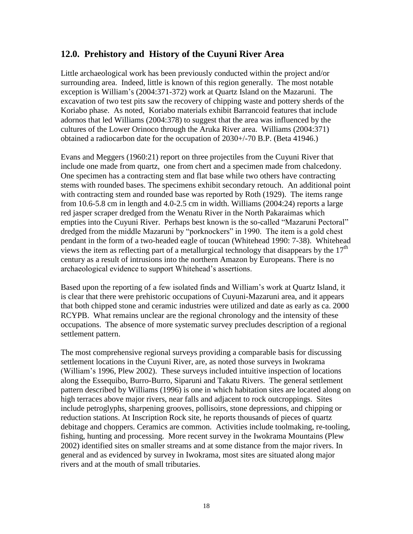#### **12.0. Prehistory and History of the Cuyuni River Area**

Little archaeological work has been previously conducted within the project and/or surrounding area. Indeed, little is known of this region generally. The most notable exception is William's (2004:371-372) work at Quartz Island on the Mazaruni. The excavation of two test pits saw the recovery of chipping waste and pottery sherds of the Koriabo phase. As noted, Koriabo materials exhibit Barrancoid features that include adornos that led Williams (2004:378) to suggest that the area was influenced by the cultures of the Lower Orinoco through the Aruka River area. Williams (2004:371) obtained a radiocarbon date for the occupation of 2030+/-70 B.P. (Beta 41946.)

Evans and Meggers (1960:21) report on three projectiles from the Cuyuni River that include one made from quartz, one from chert and a specimen made from chalcedony. One specimen has a contracting stem and flat base while two others have contracting stems with rounded bases. The specimens exhibit secondary retouch. An additional point with contracting stem and rounded base was reported by Roth (1929). The items range from 10.6-5.8 cm in length and 4.0-2.5 cm in width. Williams (2004:24) reports a large red jasper scraper dredged from the Wenatu River in the North Pakaraimas which empties into the Cuyuni River. Perhaps best known is the so-called "Mazaruni Pectoral" dredged from the middle Mazaruni by "porknockers" in 1990. The item is a gold chest pendant in the form of a two-headed eagle of toucan (Whitehead 1990: 7-38). Whitehead views the item as reflecting part of a metallurgical technology that disappears by the  $17<sup>th</sup>$ century as a result of intrusions into the northern Amazon by Europeans. There is no archaeological evidence to support Whitehead's assertions.

Based upon the reporting of a few isolated finds and William's work at Quartz Island, it is clear that there were prehistoric occupations of Cuyuni-Mazaruni area, and it appears that both chipped stone and ceramic industries were utilized and date as early as ca. 2000 RCYPB. What remains unclear are the regional chronology and the intensity of these occupations. The absence of more systematic survey precludes description of a regional settlement pattern.

The most comprehensive regional surveys providing a comparable basis for discussing settlement locations in the Cuyuni River, are, as noted those surveys in Iwokrama (William's 1996, Plew 2002). These surveys included intuitive inspection of locations along the Essequibo, Burro-Burro, Siparuni and Takatu Rivers. The general settlement pattern described by Williams (1996) is one in which habitation sites are located along on high terraces above major rivers, near falls and adjacent to rock outcroppings. Sites include petroglyphs, sharpening grooves, pollisoirs, stone depressions, and chipping or reduction stations. At Inscription Rock site, he reports thousands of pieces of quartz debitage and choppers. Ceramics are common. Activities include toolmaking, re-tooling, fishing, hunting and processing. More recent survey in the Iwokrama Mountains (Plew 2002) identified sites on smaller streams and at some distance from the major rivers. In general and as evidenced by survey in Iwokrama, most sites are situated along major rivers and at the mouth of small tributaries.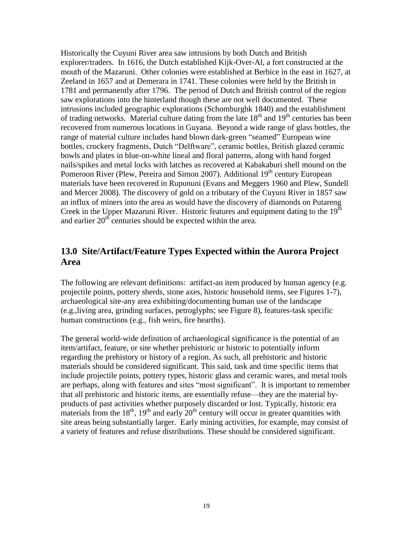Historically the Cuyuni River area saw intrusions by both Dutch and British explorer/traders. In 1616, the Dutch established Kijk-Over-Al, a fort constructed at the mouth of the Mazaruni. Other colonies were established at Berbice in the east in 1627, at Zeeland in 1657 and at Demerara in 1741. These colonies were held by the British in 1781 and permanently after 1796. The period of Dutch and British control of the region saw explorations into the hinterland though these are not well documented. These intrusions included geographic explorations (Schomburghk 1840) and the establishment of trading networks. Material culture dating from the late 18<sup>th</sup> and 19<sup>th</sup> centuries has been recovered from numerous locations in Guyana. Beyond a wide range of glass bottles, the range of material culture includes hand blown dark-green "seamed" European wine bottles, crockery fragments, Dutch "Delftware", ceramic bottles, British glazed ceramic bowls and plates in blue-on-white lineal and floral patterns, along with hand forged nails/spikes and metal locks with latches as recovered at Kabakaburi shell mound on the Pomeroon River (Plew, Pereira and Simon 2007). Additional 19<sup>th</sup> century European materials have been recovered in Rupununi (Evans and Meggers 1960 and Plew, Sundell and Mercer 2008). The discovery of gold on a tributary of the Cuyuni River in 1857 saw an influx of miners into the area as would have the discovery of diamonds on Putareng Creek in the Upper Mazaruni River. Historic features and equipment dating to the  $19<sup>th</sup>$ and earlier  $20<sup>th</sup>$  centuries should be expected within the area.

#### **13.0 Site/Artifact/Feature Types Expected within the Aurora Project Area**

The following are relevant definitions: artifact-an item produced by human agency (e.g. projectile points, pottery sherds, stone axes, historic household items, see Figures 1-7), archaeological site-any area exhibiting/documenting human use of the landscape (e.g.,living area, grinding surfaces, petroglyphs; see Figure 8), features-task specific human constructions (e.g., fish weirs, fire hearths).

The general world-wide definition of archaeological significance is the potential of an item/artifact, feature, or site whether prehistoric or historic to potentially inform regarding the prehistory or history of a region. As such, all prehistoric and historic materials should be considered significant. This said, task and time specific items that include projectile points, pottery types, historic glass and ceramic wares, and metal tools are perhaps, along with features and sites "most significant". It is important to remember that all prehistoric and historic items, are essentially refuse—they are the material byproducts of past activities whether purposely discarded or lost. Typically, historic era materials from the  $18<sup>th</sup>$ ,  $19<sup>th</sup>$  and early  $20<sup>th</sup>$  century will occur in greater quantities with site areas being substantially larger. Early mining activities, for example, may consist of a variety of features and refuse distributions. These should be considered significant.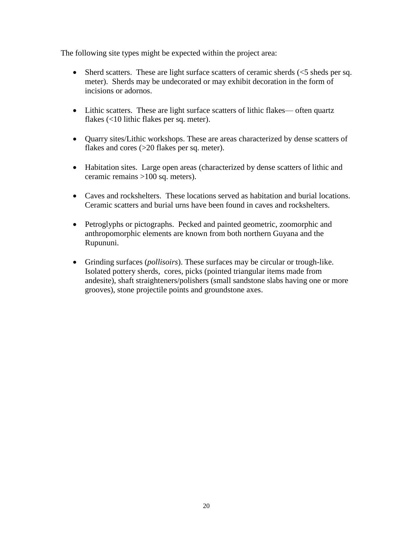The following site types might be expected within the project area:

- $\bullet$  Sherd scatters. These are light surface scatters of ceramic sherds ( $\lt$ 5 sheds per sq. meter). Sherds may be undecorated or may exhibit decoration in the form of incisions or adornos.
- Lithic scatters. These are light surface scatters of lithic flakes— often quartz flakes (<10 lithic flakes per sq. meter).
- Quarry sites/Lithic workshops. These are areas characterized by dense scatters of flakes and cores (>20 flakes per sq. meter).
- Habitation sites. Large open areas (characterized by dense scatters of lithic and ceramic remains >100 sq. meters).
- Caves and rockshelters. These locations served as habitation and burial locations. Ceramic scatters and burial urns have been found in caves and rockshelters.
- Petroglyphs or pictographs. Pecked and painted geometric, zoomorphic and anthropomorphic elements are known from both northern Guyana and the Rupununi.
- Grinding surfaces (*pollisoirs*). These surfaces may be circular or trough-like. Isolated pottery sherds, cores, picks (pointed triangular items made from andesite), shaft straighteners/polishers (small sandstone slabs having one or more grooves), stone projectile points and groundstone axes.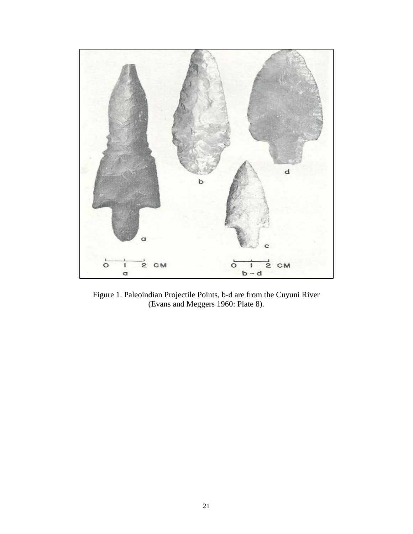

Figure 1. Paleoindian Projectile Points, b-d are from the Cuyuni River (Evans and Meggers 1960: Plate 8).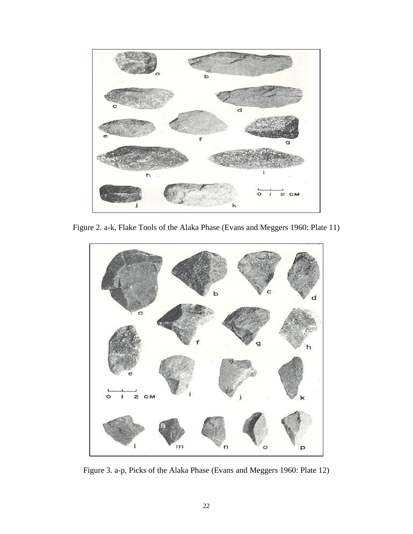

Figure 2. a-k, Flake Tools of the Alaka Phase (Evans and Meggers 1960: Plate 11)



Figure 3. a-p, Picks of the Alaka Phase (Evans and Meggers 1960: Plate 12)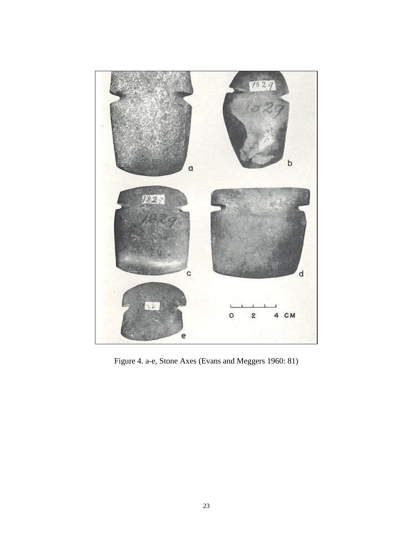

Figure 4. a-e, Stone Axes (Evans and Meggers 1960: 81)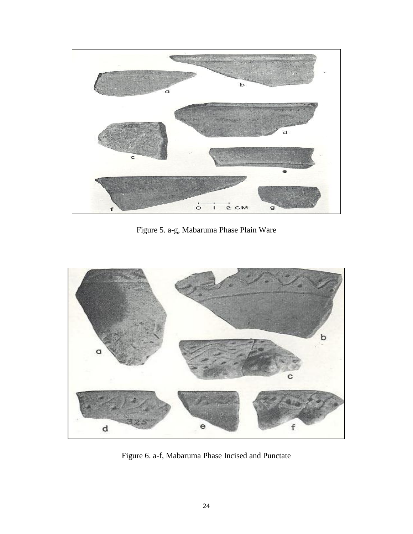

Figure 5. a-g, Mabaruma Phase Plain Ware



Figure 6. a-f, Mabaruma Phase Incised and Punctate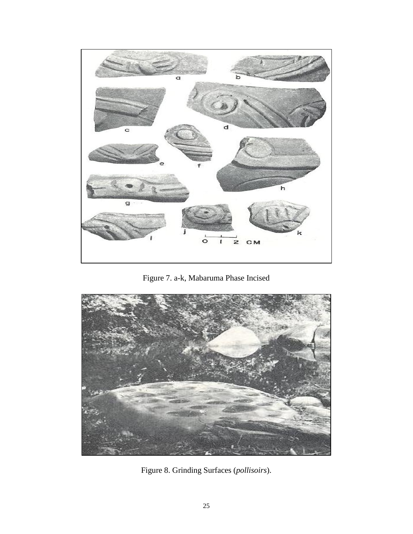

Figure 7. a-k, Mabaruma Phase Incised



Figure 8. Grinding Surfaces (*pollisoirs*).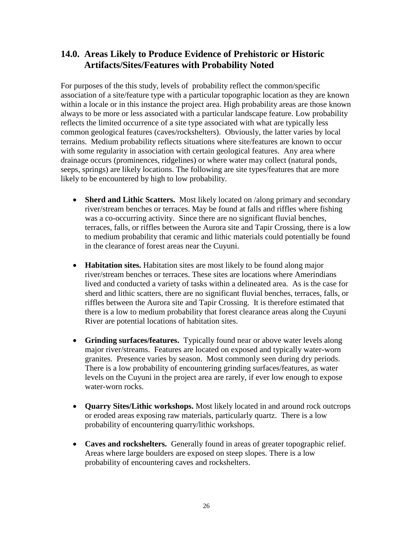# **14.0. Areas Likely to Produce Evidence of Prehistoric or Historic Artifacts/Sites/Features with Probability Noted**

For purposes of the this study, levels of probability reflect the common/specific association of a site/feature type with a particular topographic location as they are known within a locale or in this instance the project area. High probability areas are those known always to be more or less associated with a particular landscape feature. Low probability reflects the limited occurrence of a site type associated with what are typically less common geological features (caves/rockshelters). Obviously, the latter varies by local terrains. Medium probability reflects situations where site/features are known to occur with some regularity in association with certain geological features. Any area where drainage occurs (prominences, ridgelines) or where water may collect (natural ponds, seeps, springs) are likely locations. The following are site types/features that are more likely to be encountered by high to low probability.

- **Sherd and Lithic Scatters.** Most likely located on /along primary and secondary river/stream benches or terraces. May be found at falls and riffles where fishing was a co-occurring activity. Since there are no significant fluvial benches, terraces, falls, or riffles between the Aurora site and Tapir Crossing, there is a low to medium probability that ceramic and lithic materials could potentially be found in the clearance of forest areas near the Cuyuni.
- **Habitation sites.** Habitation sites are most likely to be found along major river/stream benches or terraces. These sites are locations where Amerindians lived and conducted a variety of tasks within a delineated area. As is the case for sherd and lithic scatters, there are no significant fluvial benches, terraces, falls, or riffles between the Aurora site and Tapir Crossing. It is therefore estimated that there is a low to medium probability that forest clearance areas along the Cuyuni River are potential locations of habitation sites.
- **Grinding surfaces/features.** Typically found near or above water levels along major river/streams. Features are located on exposed and typically water-worn granites. Presence varies by season. Most commonly seen during dry periods. There is a low probability of encountering grinding surfaces/features, as water levels on the Cuyuni in the project area are rarely, if ever low enough to expose water-worn rocks.
- **Quarry Sites/Lithic workshops.** Most likely located in and around rock outcrops or eroded areas exposing raw materials, particularly quartz. There is a low probability of encountering quarry/lithic workshops.
- **Caves and rockshelters.** Generally found in areas of greater topographic relief. Areas where large boulders are exposed on steep slopes. There is a low probability of encountering caves and rockshelters.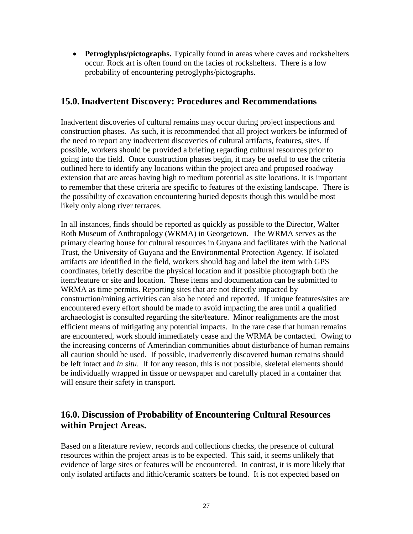**Petroglyphs/pictographs.** Typically found in areas where caves and rockshelters occur. Rock art is often found on the facies of rockshelters. There is a low probability of encountering petroglyphs/pictographs.

### **15.0.Inadvertent Discovery: Procedures and Recommendations**

Inadvertent discoveries of cultural remains may occur during project inspections and construction phases. As such, it is recommended that all project workers be informed of the need to report any inadvertent discoveries of cultural artifacts, features, sites. If possible, workers should be provided a briefing regarding cultural resources prior to going into the field. Once construction phases begin, it may be useful to use the criteria outlined here to identify any locations within the project area and proposed roadway extension that are areas having high to medium potential as site locations. It is important to remember that these criteria are specific to features of the existing landscape. There is the possibility of excavation encountering buried deposits though this would be most likely only along river terraces.

In all instances, finds should be reported as quickly as possible to the Director, Walter Roth Museum of Anthropology (WRMA) in Georgetown. The WRMA serves as the primary clearing house for cultural resources in Guyana and facilitates with the National Trust, the University of Guyana and the Environmental Protection Agency. If isolated artifacts are identified in the field, workers should bag and label the item with GPS coordinates, briefly describe the physical location and if possible photograph both the item/feature or site and location. These items and documentation can be submitted to WRMA as time permits. Reporting sites that are not directly impacted by construction/mining activities can also be noted and reported. If unique features/sites are encountered every effort should be made to avoid impacting the area until a qualified archaeologist is consulted regarding the site/feature. Minor realignments are the most efficient means of mitigating any potential impacts. In the rare case that human remains are encountered, work should immediately cease and the WRMA be contacted. Owing to the increasing concerns of Amerindian communities about disturbance of human remains all caution should be used. If possible, inadvertently discovered human remains should be left intact and *in situ*. If for any reason, this is not possible, skeletal elements should be individually wrapped in tissue or newspaper and carefully placed in a container that will ensure their safety in transport.

# **16.0. Discussion of Probability of Encountering Cultural Resources within Project Areas.**

Based on a literature review, records and collections checks, the presence of cultural resources within the project areas is to be expected. This said, it seems unlikely that evidence of large sites or features will be encountered. In contrast, it is more likely that only isolated artifacts and lithic/ceramic scatters be found. It is not expected based on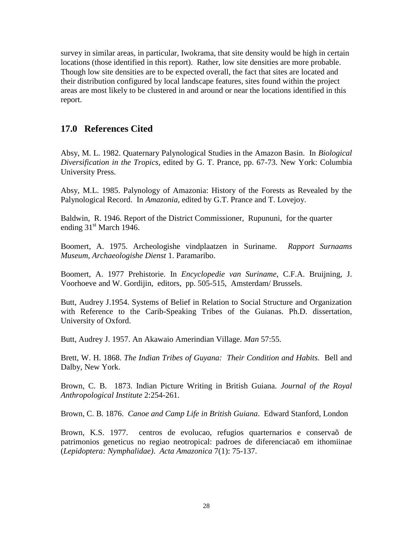survey in similar areas, in particular, Iwokrama, that site density would be high in certain locations (those identified in this report). Rather, low site densities are more probable. Though low site densities are to be expected overall, the fact that sites are located and their distribution configured by local landscape features, sites found within the project areas are most likely to be clustered in and around or near the locations identified in this report.

### **17.0 References Cited**

Absy, M. L. 1982. Quaternary Palynological Studies in the Amazon Basin. In *Biological Diversification in the Tropics*, edited by G. T. Prance, pp. 67-73. New York: Columbia University Press.

Absy, M.L. 1985. Palynology of Amazonia: History of the Forests as Revealed by the Palynological Record. In *Amazonia*, edited by G.T. Prance and T. Lovejoy.

Baldwin, R. 1946. Report of the District Commissioner, Rupununi, for the quarter ending 31<sup>st</sup> March 1946.

Boomert, A. 1975. Archeologishe vindplaatzen in Suriname. *Rapport Surnaams Museum, Archaeologishe Dienst* 1. Paramaribo.

Boomert, A. 1977 Prehistorie. In *Encyclopedie van Suriname*, C.F.A. Bruijning, J. Voorhoeve and W. Gordijin, editors, pp. 505-515, Amsterdam/ Brussels.

Butt, Audrey J.1954. Systems of Belief in Relation to Social Structure and Organization with Reference to the Carib-Speaking Tribes of the Guianas. Ph.D. dissertation, University of Oxford.

Butt, Audrey J. 1957. An Akawaio Amerindian Village. *Man* 57:55.

Brett, W. H. 1868. *The Indian Tribes of Guyana: Their Condition and Habits.* Bell and Dalby, New York.

Brown, C. B. 1873. Indian Picture Writing in British Guiana. *Journal of the Royal Anthropological Institute* 2:254-261.

Brown, C. B. 1876. *Canoe and Camp Life in British Guiana*. Edward Stanford, London

Brown, K.S. 1977. centros de evolucao, refugios quarternarios e conservaõ de patrimonios geneticus no regiao neotropical: padroes de diferenciacaõ em ithomiinae (*Lepidoptera: Nymphalidae)*. *Acta Amazonica* 7(1): 75-137.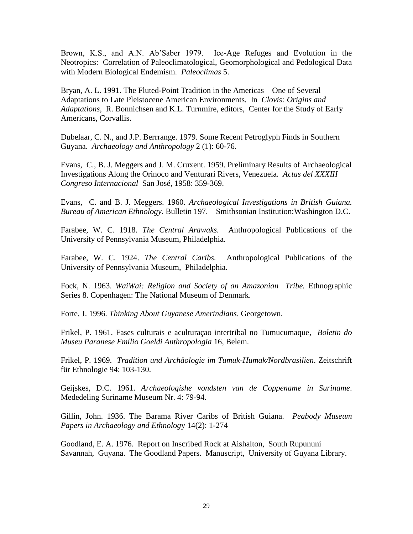Brown, K.S., and A.N. Ab'Saber 1979. Ice-Age Refuges and Evolution in the Neotropics: Correlation of Paleoclimatological, Geomorphological and Pedological Data with Modern Biological Endemism. *Paleoclimas* 5.

Bryan, A. L. 1991. The Fluted-Point Tradition in the Americas—One of Several Adaptations to Late Pleistocene American Environments*.* In *Clovis: Origins and Adaptations,* R. Bonnichsen and K.L. Turnmire, editors, Center for the Study of Early Americans, Corvallis.

Dubelaar, C. N., and J.P. Berrrange. 1979. Some Recent Petroglyph Finds in Southern Guyana. *Archaeology and Anthropology* 2 (1): 60-76.

Evans, C., B. J. Meggers and J. M. Cruxent. 1959. Preliminary Results of Archaeological Investigations Along the Orinoco and Venturari Rivers, Venezuela. *Actas del XXXIII Congreso Internacional* San José, 1958: 359-369.

Evans, C. and B. J. Meggers. 1960. *Archaeological Investigations in British Guiana. Bureau of American Ethnology*. Bulletin 197. Smithsonian Institution:Washington D.C.

Farabee, W. C. 1918. *The Central Arawaks.* Anthropological Publications of the University of Pennsylvania Museum, Philadelphia.

Farabee, W. C. 1924. *The Central Caribs.* Anthropological Publications of the University of Pennsylvania Museum, Philadelphia.

Fock, N. 1963. *WaiWai: Religion and Society of an Amazonian Tribe.* Ethnographic Series 8. Copenhagen: The National Museum of Denmark.

Forte, J. 1996. *Thinking About Guyanese Amerindians*. Georgetown.

Frikel, P. 1961. Fases culturais e aculturaçao intertribal no Tumucumaque*, Boletin do Museu Paranese Emílio Goeldi Anthropologia* 16, Belem.

Frikel, P. 1969. *Tradition und Archäologie im Tumuk-Humak/Nordbrasilien*. Zeitschrift für Ethnologie 94: 103-130.

Geijskes, D.C. 1961. *Archaeologishe vondsten van de Coppename in Suriname*. Mededeling Suriname Museum Nr. 4: 79-94.

Gillin, John. 1936. The Barama River Caribs of British Guiana. *Peabody Museum Papers in Archaeology and Ethnolog*y 14(2): 1-274

Goodland, E. A. 1976. Report on Inscribed Rock at Aishalton, South Rupununi Savannah, Guyana.The Goodland Papers. Manuscript, University of Guyana Library.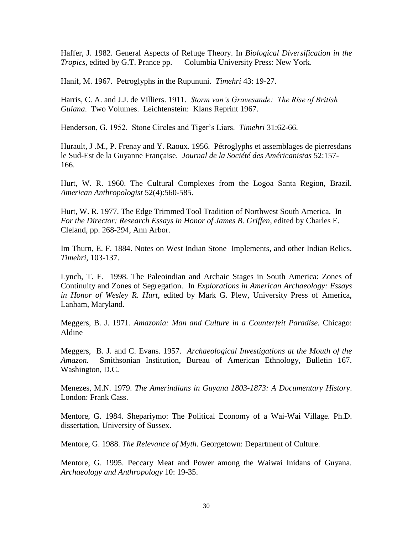Haffer, J. 1982. General Aspects of Refuge Theory. In *Biological Diversification in the Tropics,* edited by G.T. Prance pp. Columbia University Press: New York.

Hanif, M. 1967. Petroglyphs in the Rupununi. *Timehri* 43: 19-27.

Harris, C. A. and J.J. de Villiers. 1911. *Storm van's Gravesande: The Rise of British Guiana*. Two Volumes. Leichtenstein: Klans Reprint 1967.

Henderson, G. 1952. Stone Circles and Tiger's Liars. *Timehri* 31:62-66.

Hurault, J .M., P. Frenay and Y. Raoux. 1956. Pétroglyphs et assemblages de pierresdans le Sud-Est de la Guyanne Française. *Journal de la Société des Américanistas* 52:157- 166.

Hurt, W. R. 1960. The Cultural Complexes from the Logoa Santa Region, Brazil. *American Anthropologist* 52(4):560-585.

Hurt, W. R. 1977. The Edge Trimmed Tool Tradition of Northwest South America. In *For the Director: Research Essays in Honor of James B. Griffen*, edited by Charles E. Cleland, pp. 268-294, Ann Arbor.

Im Thurn, E. F. 1884. Notes on West Indian Stone Implements, and other Indian Relics. *Timehri,* 103-137.

Lynch, T. F. 1998. The Paleoindian and Archaic Stages in South America: Zones of Continuity and Zones of Segregation. In *Explorations in American Archaeology: Essays in Honor of Wesley R. Hurt*, edited by Mark G. Plew, University Press of America, Lanham, Maryland.

Meggers, B. J. 1971. *Amazonia: Man and Culture in a Counterfeit Paradise.* Chicago: Aldine

Meggers, B. J. and C. Evans. 1957. *Archaeological Investigations at the Mouth of the Amazon.* Smithsonian Institution, Bureau of American Ethnology, Bulletin 167. Washington, D.C.

Menezes, M.N. 1979. *The Amerindians in Guyana 1803-1873: A Documentary History*. London: Frank Cass.

Mentore, G. 1984. Shepariymo: The Political Economy of a Wai-Wai Village. Ph.D. dissertation, University of Sussex.

Mentore, G. 1988. *The Relevance of Myth*. Georgetown: Department of Culture.

Mentore, G. 1995. Peccary Meat and Power among the Waiwai Inidans of Guyana. *Archaeology and Anthropology* 10: 19-35.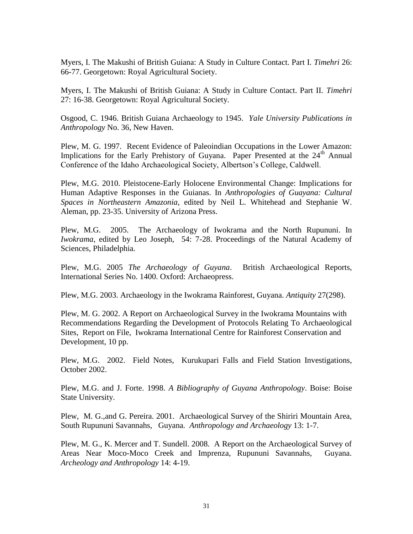Myers, I. The Makushi of British Guiana: A Study in Culture Contact. Part I. *Timehri* 26: 66-77. Georgetown: Royal Agricultural Society.

Myers, I. The Makushi of British Guiana: A Study in Culture Contact. Part II. *Timehri* 27: 16-38. Georgetown: Royal Agricultural Society.

Osgood, C. 1946. British Guiana Archaeology to 1945. *Yale University Publications in Anthropology* No. 36, New Haven.

Plew, M. G. 1997. Recent Evidence of Paleoindian Occupations in the Lower Amazon: Implications for the Early Prehistory of Guyana. Paper Presented at the 24<sup>th</sup> Annual Conference of the Idaho Archaeological Society, Albertson's College, Caldwell.

Plew, M.G. 2010. Pleistocene-Early Holocene Environmental Change: Implications for Human Adaptive Responses in the Guianas. In *Anthropologies of Guayana: Cultural Spaces in Northeastern Amazonia*, edited by Neil L. Whitehead and Stephanie W. Aleman, pp. 23-35. University of Arizona Press.

Plew, M.G. 2005. The Archaeology of Iwokrama and the North Rupununi. In *Iwokrama*, edited by Leo Joseph, 54: 7-28. Proceedings of the Natural Academy of Sciences, Philadelphia.

Plew, M.G. 2005 *The Archaeology of Guyana*. British Archaeological Reports, International Series No. 1400. Oxford: Archaeopress.

Plew, M.G. 2003. Archaeology in the Iwokrama Rainforest, Guyana. *Antiquity* 27(298).

Plew, M. G. 2002. A Report on Archaeological Survey in the Iwokrama Mountains with Recommendations Regarding the Development of Protocols Relating To Archaeological Sites, Report on File, Iwokrama International Centre for Rainforest Conservation and Development, 10 pp.

Plew, M.G. 2002. Field Notes, Kurukupari Falls and Field Station Investigations, October 2002.

Plew, M.G. and J. Forte. 1998. *A Bibliography of Guyana Anthropology*. Boise: Boise State University.

Plew, M. G.,and G. Pereira. 2001. Archaeological Survey of the Shiriri Mountain Area, South Rupununi Savannahs, Guyana*. Anthropology and Archaeology* 13: 1-7.

Plew, M. G., K. Mercer and T. Sundell. 2008. A Report on the Archaeological Survey of Areas Near Moco-Moco Creek and Imprenza, Rupununi Savannahs, Guyana. *Archeology and Anthropology* 14: 4-19.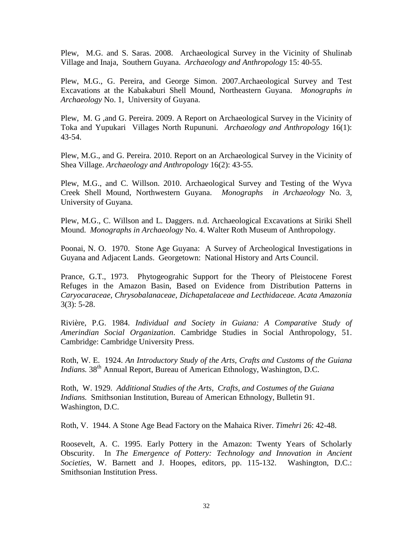Plew, M.G. and S. Saras. 2008. Archaeological Survey in the Vicinity of Shulinab Village and Inaja, Southern Guyana. *Archaeology and Anthropology* 15: 40-55.

Plew, M.G., G. Pereira, and George Simon. 2007.Archaeological Survey and Test Excavations at the Kabakaburi Shell Mound, Northeastern Guyana. *Monographs in Archaeology* No. 1, University of Guyana.

Plew, M. G ,and G. Pereira. 2009. A Report on Archaeological Survey in the Vicinity of Toka and Yupukari Villages North Rupununi*. Archaeology and Anthropology* 16(1): 43-54.

Plew, M.G., and G. Pereira. 2010. Report on an Archaeological Survey in the Vicinity of Shea Village. *Archaeology and Anthropology* 16(2): 43-55.

Plew, M.G., and C. Willson. 2010. Archaeological Survey and Testing of the Wyva Creek Shell Mound, Northwestern Guyana. *Monographs in Archaeology* No. 3, University of Guyana.

Plew, M.G., C. Willson and L. Daggers. n.d. Archaeological Excavations at Siriki Shell Mound. *Monographs in Archaeology* No. 4. Walter Roth Museum of Anthropology.

Poonai, N. O. 1970. Stone Age Guyana: A Survey of Archeological Investigations in Guyana and Adjacent Lands. Georgetown: National History and Arts Council.

Prance, G.T., 1973. Phytogeograhic Support for the Theory of Pleistocene Forest Refuges in the Amazon Basin, Based on Evidence from Distribution Patterns in *Caryocaraceae, Chrysobalanaceae, Dichapetalaceae and Lecthidaceae. Acata Amazonia* 3(3): 5-28.

Rivière, P.G. 1984. *Individual and Society in Guiana: A Comparative Study of Amerindian Social Organization*. Cambridge Studies in Social Anthropology, 51. Cambridge: Cambridge University Press.

Roth, W. E. 1924. *An Introductory Study of the Arts, Crafts and Customs of the Guiana Indians.* 38<sup>th</sup> Annual Report, Bureau of American Ethnology, Washington, D.C.

Roth, W. 1929. *Additional Studies of the Arts, Crafts, and Costumes of the Guiana Indians.* Smithsonian Institution, Bureau of American Ethnology, Bulletin 91. Washington, D.C.

Roth, V. 1944. A Stone Age Bead Factory on the Mahaica River. *Timehri* 26: 42-48.

Roosevelt, A. C. 1995. Early Pottery in the Amazon: Twenty Years of Scholarly Obscurity. In *The Emergence of Pottery: Technology and Innovation in Ancient Societies*, W. Barnett and J. Hoopes, editors, pp. 115-132. Washington, D.C.: Smithsonian Institution Press.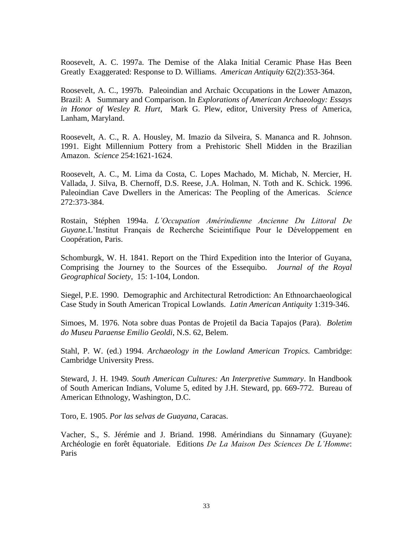Roosevelt, A. C. 1997a. The Demise of the Alaka Initial Ceramic Phase Has Been Greatly Exaggerated: Response to D. Williams. *American Antiquity* 62(2):353-364.

Roosevelt, A. C., 1997b. Paleoindian and Archaic Occupations in the Lower Amazon, Brazil: A Summary and Comparison. In *Explorations of American Archaeology: Essays in Honor of Wesley R. Hurt*, Mark G. Plew, editor, University Press of America, Lanham, Maryland.

Roosevelt, A. C., R. A. Housley, M. Imazio da Silveira, S. Mananca and R. Johnson. 1991. Eight Millennium Pottery from a Prehistoric Shell Midden in the Brazilian Amazon. *Science* 254:1621-1624.

Roosevelt, A. C., M. Lima da Costa, C. Lopes Machado, M. Michab, N. Mercier, H. Vallada, J. Silva, B. Chernoff, D.S. Reese, J.A. Holman, N. Toth and K. Schick. 1996. Paleoindian Cave Dwellers in the Americas: The Peopling of the Americas. *Science*  272:373-384.

Rostain, Stéphen 1994a. *L'Occupation Amérindienne Ancienne Du Littoral De Guyane.*L'Institut Français de Recherche Scieintifique Pour le Développement en Coopération, Paris.

Schomburgk, W. H. 1841. Report on the Third Expedition into the Interior of Guyana, Comprising the Journey to the Sources of the Essequibo. *Journal of the Royal Geographical Society,* 15: 1-104, London.

Siegel, P.E. 1990. Demographic and Architectural Retrodiction: An Ethnoarchaeological Case Study in South American Tropical Lowlands. *Latin American Antiquity* 1:319-346.

Simoes, M. 1976. Nota sobre duas Pontas de Projetil da Bacia Tapajos (Para). *Boletim do Museu Paraense Emilio Geoldi*, N.S. 62, Belem.

Stahl, P. W. (ed.) 1994. *Archaeology in the Lowland American Tropics.* Cambridge: Cambridge University Press.

Steward, J. H. 1949*. South American Cultures: An Interpretive Summary*. In Handbook of South American Indians, Volume 5, edited by J.H. Steward, pp. 669-772. Bureau of American Ethnology, Washington, D.C.

Toro, E. 1905. *Por las selvas de Guayana*, Caracas.

Vacher, S., S. Jérémie and J. Briand. 1998. Amérindians du Sinnamary (Guyane): Archéologie en forêt êquatoriale. Editions *De La Maison Des Sciences De L'Homme*: Paris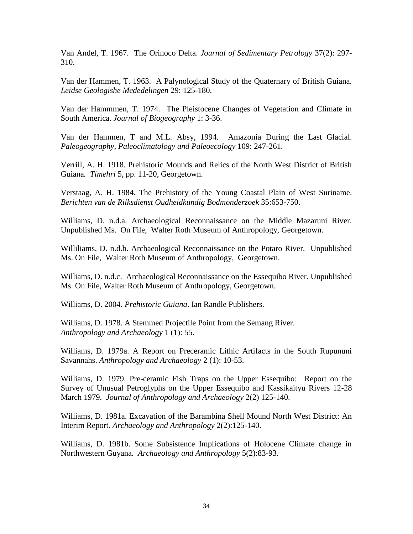Van Andel, T. 1967. The Orinoco Delta. *Journal of Sedimentary Petrology* 37(2): 297- 310.

Van der Hammen, T. 1963. A Palynological Study of the Quaternary of British Guiana. *Leidse Geologishe Mededelingen* 29: 125-180.

Van der Hammmen, T. 1974. The Pleistocene Changes of Vegetation and Climate in South America. *Journal of Biogeography* 1: 3-36.

Van der Hammen, T and M.L. Absy, 1994. Amazonia During the Last Glacial. *Paleogeography, Paleoclimatology and Paleoecology* 109: 247-261.

Verrill, A. H. 1918. Prehistoric Mounds and Relics of the North West District of British Guiana*. Timehri* 5, pp. 11-20, Georgetown.

Verstaag, A. H. 1984. The Prehistory of the Young Coastal Plain of West Suriname. *Berichten van de Rilksdienst Oudheidkundig Bodmonderzoek* 35:653-750.

Williams, D. n.d.a. Archaeological Reconnaissance on the Middle Mazaruni River. Unpublished Ms. On File, Walter Roth Museum of Anthropology, Georgetown.

Williliams, D. n.d.b. Archaeological Reconnaissance on the Potaro River. Unpublished Ms. On File, Walter Roth Museum of Anthropology, Georgetown.

Williams, D. n.d.c. Archaeological Reconnaissance on the Essequibo River. Unpublished Ms. On File, Walter Roth Museum of Anthropology, Georgetown.

Williams, D. 2004. *Prehistoric Guiana*. Ian Randle Publishers.

Williams, D. 1978. A Stemmed Projectile Point from the Semang River. *Anthropology and Archaeology* 1 (1): 55.

Williams, D. 1979a. A Report on Preceramic Lithic Artifacts in the South Rupununi Savannahs. *Anthropology and Archaeology* 2 (1): 10-53.

Williams, D. 1979. Pre-ceramic Fish Traps on the Upper Essequibo: Report on the Survey of Unusual Petroglyphs on the Upper Essequibo and Kassikaityu Rivers 12-28 March 1979. *Journal of Anthropology and Archaeology* 2(2) 125-140.

Williams, D. 1981a. Excavation of the Barambina Shell Mound North West District: An Interim Report. *Archaeology and Anthropology* 2(2):125-140.

Williams, D. 1981b. Some Subsistence Implications of Holocene Climate change in Northwestern Guyana*. Archaeology and Anthropology* 5(2):83-93.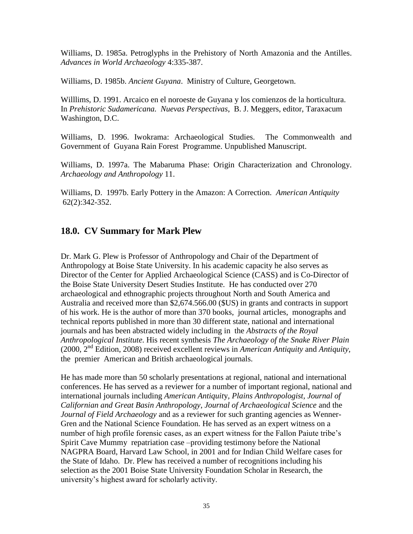Williams, D. 1985a. Petroglyphs in the Prehistory of North Amazonia and the Antilles. *Advances in World Archaeology* 4:335-387.

Williams, D. 1985b. *Ancient Guyana*. Ministry of Culture, Georgetown.

Willlims, D. 1991. Arcaico en el noroeste de Guyana y los comienzos de la horticultura. In *Prehistoric Sudamericana. Nuevas Perspectivas*, B. J. Meggers, editor, Taraxacum Washington, D.C.

Williams, D. 1996. Iwokrama: Archaeological Studies. The Commonwealth and Government of Guyana Rain Forest Programme. Unpublished Manuscript.

Williams, D. 1997a. The Mabaruma Phase: Origin Characterization and Chronology. *Archaeology and Anthropology* 11.

Williams, D. 1997b. Early Pottery in the Amazon: A Correction. *American Antiquity* 62(2):342-352.

# **18.0. CV Summary for Mark Plew**

Dr. Mark G. Plew is Professor of Anthropology and Chair of the Department of Anthropology at Boise State University. In his academic capacity he also serves as Director of the Center for Applied Archaeological Science (CASS) and is Co-Director of the Boise State University Desert Studies Institute. He has conducted over 270 archaeological and ethnographic projects throughout North and South America and Australia and received more than \$2,674.566.00 (\$US) in grants and contracts in support of his work. He is the author of more than 370 books, journal articles, monographs and technical reports published in more than 30 different state, national and international journals and has been abstracted widely including in the *Abstracts of the Royal Anthropological Institute*. His recent synthesis *The Archaeology of the Snake River Plain* (2000, 2nd Edition, 2008) received excellent reviews in *American Antiquity* and *Antiquity,*  the premier American and British archaeological journals.

He has made more than 50 scholarly presentations at regional, national and international conferences. He has served as a reviewer for a number of important regional, national and international journals including *American Antiquit*y*, Plains Anthropologist, Journal of Californian and Great Basin Anthropology*, *Journal of Archaeological Science* and the *Journal of Field Archaeology* and as a reviewer for such granting agencies as Wenner-Gren and the National Science Foundation. He has served as an expert witness on a number of high profile forensic cases, as an expert witness for the Fallon Paiute tribe's Spirit Cave Mummy repatriation case –providing testimony before the National NAGPRA Board, Harvard Law School, in 2001 and for Indian Child Welfare cases for the State of Idaho. Dr. Plew has received a number of recognitions including his selection as the 2001 Boise State University Foundation Scholar in Research, the university's highest award for scholarly activity.